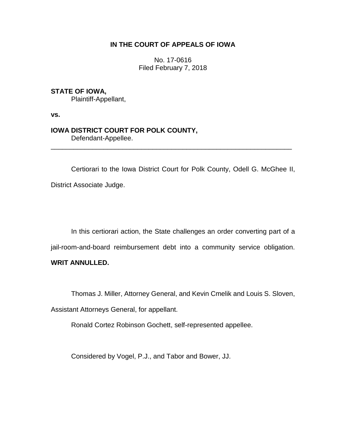# **IN THE COURT OF APPEALS OF IOWA**

No. 17-0616 Filed February 7, 2018

**STATE OF IOWA,**

Plaintiff-Appellant,

**vs.**

# **IOWA DISTRICT COURT FOR POLK COUNTY,** Defendant-Appellee.

Certiorari to the Iowa District Court for Polk County, Odell G. McGhee II, District Associate Judge.

\_\_\_\_\_\_\_\_\_\_\_\_\_\_\_\_\_\_\_\_\_\_\_\_\_\_\_\_\_\_\_\_\_\_\_\_\_\_\_\_\_\_\_\_\_\_\_\_\_\_\_\_\_\_\_\_\_\_\_\_\_\_\_\_

In this certiorari action, the State challenges an order converting part of a jail-room-and-board reimbursement debt into a community service obligation.

**WRIT ANNULLED.**

Thomas J. Miller, Attorney General, and Kevin Cmelik and Louis S. Sloven,

Assistant Attorneys General, for appellant.

Ronald Cortez Robinson Gochett, self-represented appellee.

Considered by Vogel, P.J., and Tabor and Bower, JJ.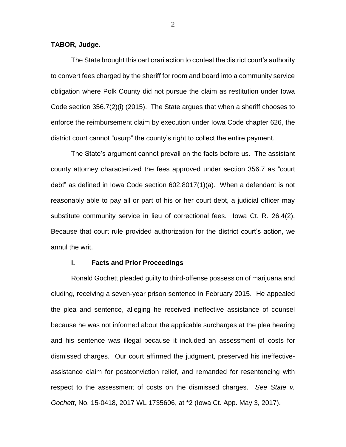### **TABOR, Judge.**

The State brought this certiorari action to contest the district court's authority to convert fees charged by the sheriff for room and board into a community service obligation where Polk County did not pursue the claim as restitution under Iowa Code section 356.7(2)(i) (2015). The State argues that when a sheriff chooses to enforce the reimbursement claim by execution under Iowa Code chapter 626, the district court cannot "usurp" the county's right to collect the entire payment.

The State's argument cannot prevail on the facts before us. The assistant county attorney characterized the fees approved under section 356.7 as "court debt" as defined in Iowa Code section 602.8017(1)(a). When a defendant is not reasonably able to pay all or part of his or her court debt, a judicial officer may substitute community service in lieu of correctional fees. Iowa Ct. R. 26.4(2). Because that court rule provided authorization for the district court's action, we annul the writ.

#### **I. Facts and Prior Proceedings**

Ronald Gochett pleaded guilty to third-offense possession of marijuana and eluding, receiving a seven-year prison sentence in February 2015. He appealed the plea and sentence, alleging he received ineffective assistance of counsel because he was not informed about the applicable surcharges at the plea hearing and his sentence was illegal because it included an assessment of costs for dismissed charges. Our court affirmed the judgment, preserved his ineffectiveassistance claim for postconviction relief, and remanded for resentencing with respect to the assessment of costs on the dismissed charges. *See State v. Gochett*, No. 15-0418, 2017 WL 1735606, at \*2 (Iowa Ct. App. May 3, 2017).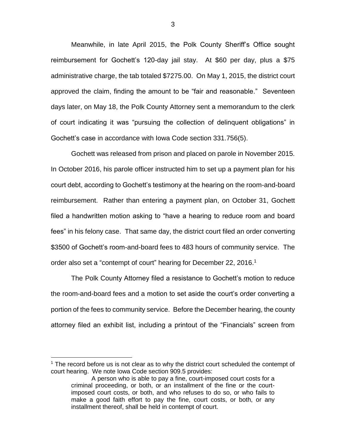Meanwhile, in late April 2015, the Polk County Sheriff's Office sought reimbursement for Gochett's 120-day jail stay. At \$60 per day, plus a \$75 administrative charge, the tab totaled \$7275.00. On May 1, 2015, the district court approved the claim, finding the amount to be "fair and reasonable." Seventeen days later, on May 18, the Polk County Attorney sent a memorandum to the clerk of court indicating it was "pursuing the collection of delinquent obligations" in Gochett's case in accordance with Iowa Code section 331.756(5).

Gochett was released from prison and placed on parole in November 2015. In October 2016, his parole officer instructed him to set up a payment plan for his court debt, according to Gochett's testimony at the hearing on the room-and-board reimbursement. Rather than entering a payment plan, on October 31, Gochett filed a handwritten motion asking to "have a hearing to reduce room and board fees" in his felony case. That same day, the district court filed an order converting \$3500 of Gochett's room-and-board fees to 483 hours of community service. The order also set a "contempt of court" hearing for December 22, 2016.<sup>1</sup>

The Polk County Attorney filed a resistance to Gochett's motion to reduce the room-and-board fees and a motion to set aside the court's order converting a portion of the fees to community service. Before the December hearing, the county attorney filed an exhibit list, including a printout of the "Financials" screen from

 $\overline{a}$ 

 $<sup>1</sup>$  The record before us is not clear as to why the district court scheduled the contempt of</sup> court hearing. We note Iowa Code section 909.5 provides:

A person who is able to pay a fine, court-imposed court costs for a criminal proceeding, or both, or an installment of the fine or the courtimposed court costs, or both, and who refuses to do so, or who fails to make a good faith effort to pay the fine, court costs, or both, or any installment thereof, shall be held in contempt of court.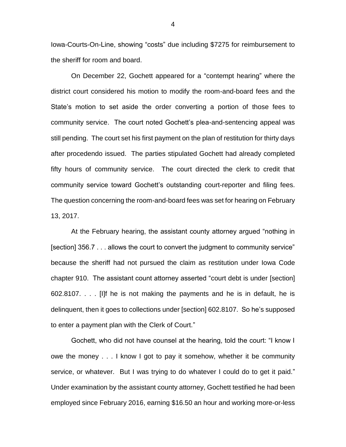Iowa-Courts-On-Line, showing "costs" due including \$7275 for reimbursement to the sheriff for room and board.

On December 22, Gochett appeared for a "contempt hearing" where the district court considered his motion to modify the room-and-board fees and the State's motion to set aside the order converting a portion of those fees to community service. The court noted Gochett's plea-and-sentencing appeal was still pending. The court set his first payment on the plan of restitution for thirty days after procedendo issued. The parties stipulated Gochett had already completed fifty hours of community service. The court directed the clerk to credit that community service toward Gochett's outstanding court-reporter and filing fees. The question concerning the room-and-board fees was set for hearing on February 13, 2017.

At the February hearing, the assistant county attorney argued "nothing in [section] 356.7 . . . allows the court to convert the judgment to community service" because the sheriff had not pursued the claim as restitution under Iowa Code chapter 910. The assistant count attorney asserted "court debt is under [section] 602.8107. . . . [I]f he is not making the payments and he is in default, he is delinquent, then it goes to collections under [section] 602.8107. So he's supposed to enter a payment plan with the Clerk of Court."

Gochett, who did not have counsel at the hearing, told the court: "I know I owe the money . . . I know I got to pay it somehow, whether it be community service, or whatever. But I was trying to do whatever I could do to get it paid." Under examination by the assistant county attorney, Gochett testified he had been employed since February 2016, earning \$16.50 an hour and working more-or-less

4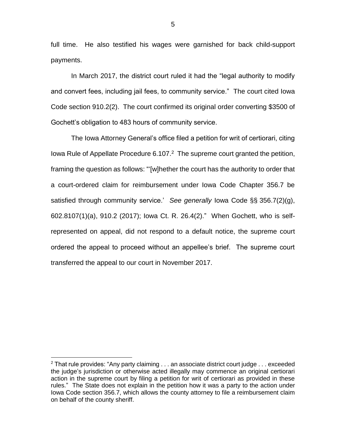full time. He also testified his wages were garnished for back child-support payments.

In March 2017, the district court ruled it had the "legal authority to modify and convert fees, including jail fees, to community service." The court cited Iowa Code section 910.2(2). The court confirmed its original order converting \$3500 of Gochett's obligation to 483 hours of community service.

The Iowa Attorney General's office filed a petition for writ of certiorari, citing Iowa Rule of Appellate Procedure 6.107.<sup>2</sup> The supreme court granted the petition, framing the question as follows: "'[w]hether the court has the authority to order that a court-ordered claim for reimbursement under Iowa Code Chapter 356.7 be satisfied through community service.' *See generally* Iowa Code §§ 356.7(2)(g), 602.8107(1)(a), 910.2 (2017); Iowa Ct. R. 26.4(2)." When Gochett, who is selfrepresented on appeal, did not respond to a default notice, the supreme court ordered the appeal to proceed without an appellee's brief. The supreme court transferred the appeal to our court in November 2017.

 $\overline{a}$ 

 $2$  That rule provides: "Any party claiming  $\dots$  an associate district court judge  $\dots$  exceeded the judge's jurisdiction or otherwise acted illegally may commence an original certiorari action in the supreme court by filing a petition for writ of certiorari as provided in these rules." The State does not explain in the petition how it was a party to the action under Iowa Code section 356.7, which allows the county attorney to file a reimbursement claim on behalf of the county sheriff.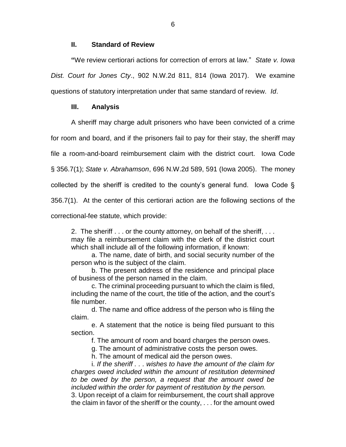## **II. Standard of Review**

**"**We review certiorari actions for correction of errors at law." *State v. Iowa Dist. Court for Jones Cty*., 902 N.W.2d 811, 814 (Iowa 2017). We examine questions of statutory interpretation under that same standard of review. *Id*.

## **III. Analysis**

A sheriff may charge adult prisoners who have been convicted of a crime

for room and board, and if the prisoners fail to pay for their stay, the sheriff may

file a room-and-board reimbursement claim with the district court. Iowa Code

§ 356.7(1); *State v. Abrahamson*, 696 N.W.2d 589, 591 (Iowa 2005). The money

collected by the sheriff is credited to the county's general fund. Iowa Code §

356.7(1). At the center of this certiorari action are the following sections of the

correctional-fee statute, which provide:

2. The sheriff . . . or the county attorney, on behalf of the sheriff, . . . may file a reimbursement claim with the clerk of the district court which shall include all of the following information, if known:

a. The name, date of birth, and social security number of the person who is the subject of the claim.

b. The present address of the residence and principal place of business of the person named in the claim.

c. The criminal proceeding pursuant to which the claim is filed, including the name of the court, the title of the action, and the court's file number.

d. The name and office address of the person who is filing the claim.

e. A statement that the notice is being filed pursuant to this section.

f. The amount of room and board charges the person owes.

g. The amount of administrative costs the person owes.

h. The amount of medical aid the person owes.

i. *If the sheriff . . . wishes to have the amount of the claim for charges owed included within the amount of restitution determined to be owed by the person, a request that the amount owed be included within the order for payment of restitution by the person.*

3. Upon receipt of a claim for reimbursement, the court shall approve the claim in favor of the sheriff or the county, . . . for the amount owed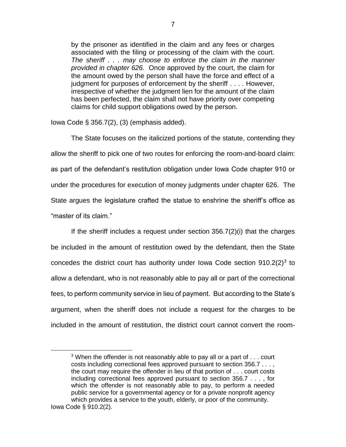by the prisoner as identified in the claim and any fees or charges associated with the filing or processing of the claim with the court. *The sheriff . . . may choose to enforce the claim in the manner provided in chapter 626.* Once approved by the court, the claim for the amount owed by the person shall have the force and effect of a judgment for purposes of enforcement by the sheriff . . . . However, irrespective of whether the judgment lien for the amount of the claim has been perfected, the claim shall not have priority over competing claims for child support obligations owed by the person.

Iowa Code § 356.7(2), (3) (emphasis added).

 $\overline{a}$ 

The State focuses on the italicized portions of the statute, contending they allow the sheriff to pick one of two routes for enforcing the room-and-board claim: as part of the defendant's restitution obligation under Iowa Code chapter 910 or under the procedures for execution of money judgments under chapter 626. The State argues the legislature crafted the statue to enshrine the sheriff's office as "master of its claim."

If the sheriff includes a request under section 356.7(2)(i) that the charges be included in the amount of restitution owed by the defendant, then the State concedes the district court has authority under lowa Code section  $910.2(2)^3$  to allow a defendant, who is not reasonably able to pay all or part of the correctional fees, to perform community service in lieu of payment. But according to the State's argument, when the sheriff does not include a request for the charges to be included in the amount of restitution, the district court cannot convert the room-

 $3$  When the offender is not reasonably able to pay all or a part of  $\dots$  court costs including correctional fees approved pursuant to section 356.7 . . . , the court may require the offender in lieu of that portion of . . . court costs including correctional fees approved pursuant to section 356.7 . . . , for which the offender is not reasonably able to pay, to perform a needed public service for a governmental agency or for a private nonprofit agency which provides a service to the youth, elderly, or poor of the community. Iowa Code § 910.2(2).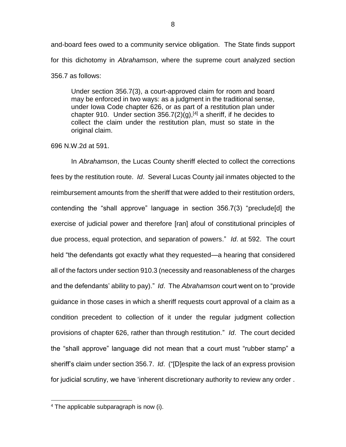and-board fees owed to a community service obligation. The State finds support for this dichotomy in *Abrahamson*, where the supreme court analyzed section 356.7 as follows:

Under section 356.7(3), a court-approved claim for room and board may be enforced in two ways: as a judgment in the traditional sense, under Iowa Code chapter 626, or as part of a restitution plan under chapter 910. Under section  $356.7(2)(q)$ , <sup>[4]</sup> a sheriff, if he decides to collect the claim under the restitution plan, must so state in the original claim.

## 696 N.W.2d at 591.

In *Abrahamson*, the Lucas County sheriff elected to collect the corrections fees by the restitution route. *Id*. Several Lucas County jail inmates objected to the reimbursement amounts from the sheriff that were added to their restitution orders, contending the "shall approve" language in section 356.7(3) "preclude[d] the exercise of judicial power and therefore [ran] afoul of constitutional principles of due process, equal protection, and separation of powers." *Id*. at 592. The court held "the defendants got exactly what they requested—a hearing that considered all of the factors under section 910.3 (necessity and reasonableness of the charges and the defendants' ability to pay)." *Id*. The *Abrahamson* court went on to "provide guidance in those cases in which a sheriff requests court approval of a claim as a condition precedent to collection of it under the regular judgment collection provisions of chapter 626, rather than through restitution." *Id*. The court decided the "shall approve" language did not mean that a court must "rubber stamp" a sheriff's claim under section 356.7. *Id*. ("[D]espite the lack of an express provision for judicial scrutiny, we have 'inherent discretionary authority to review any order .

 $\overline{a}$ 

 $4$  The applicable subparagraph is now (i).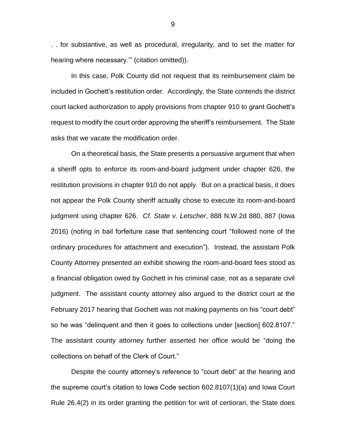. . for substantive, as well as procedural, irregularity, and to set the matter for hearing where necessary.'" (citation omitted)).

In this case, Polk County did not request that its reimbursement claim be included in Gochett's restitution order. Accordingly, the State contends the district court lacked authorization to apply provisions from chapter 910 to grant Gochett's request to modify the court order approving the sheriff's reimbursement. The State asks that we vacate the modification order.

On a theoretical basis, the State presents a persuasive argument that when a sheriff opts to enforce its room-and-board judgment under chapter 626, the restitution provisions in chapter 910 do not apply. But on a practical basis, it does not appear the Polk County sheriff actually chose to execute its room-and-board judgment using chapter 626. *Cf. State v. Letscher*, 888 N.W.2d 880, 887 (Iowa 2016) (noting in bail forfeiture case that sentencing court "followed none of the ordinary procedures for attachment and execution"). Instead, the assistant Polk County Attorney presented an exhibit showing the room-and-board fees stood as a financial obligation owed by Gochett in his criminal case, not as a separate civil judgment. The assistant county attorney also argued to the district court at the February 2017 hearing that Gochett was not making payments on his "court debt" so he was "delinquent and then it goes to collections under [section] 602.8107." The assistant county attorney further asserted her office would be "doing the collections on behalf of the Clerk of Court."

Despite the county attorney's reference to "court debt" at the hearing and the supreme court's citation to Iowa Code section 602.8107(1)(a) and Iowa Court Rule 26.4(2) in its order granting the petition for writ of certiorari, the State does

9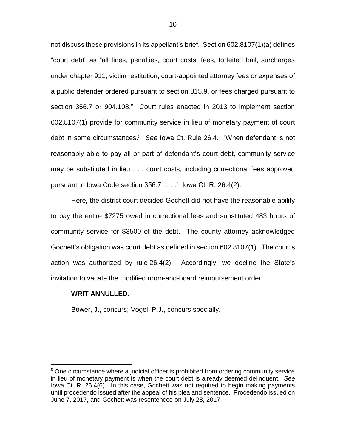not discuss these provisions in its appellant's brief. Section 602.8107(1)(a) defines "court debt" as "all fines, penalties, court costs, fees, forfeited bail, surcharges under chapter 911, victim restitution, court-appointed attorney fees or expenses of a public defender ordered pursuant to section 815.9, or fees charged pursuant to section 356.7 or 904.108." Court rules enacted in 2013 to implement section 602.8107(1) provide for community service in lieu of monetary payment of court debt in some circumstances.<sup>5</sup> *See* Iowa Ct. Rule 26.4. "When defendant is not reasonably able to pay all or part of defendant's court debt, community service may be substituted in lieu . . . court costs, including correctional fees approved pursuant to Iowa Code section 356.7 . . . ." Iowa Ct. R. 26.4(2).

Here, the district court decided Gochett did not have the reasonable ability to pay the entire \$7275 owed in correctional fees and substituted 483 hours of community service for \$3500 of the debt. The county attorney acknowledged Gochett's obligation was court debt as defined in section 602.8107(1). The court's action was authorized by rule 26.4(2). Accordingly, we decline the State's invitation to vacate the modified room-and-board reimbursement order.

#### **WRIT ANNULLED.**

 $\overline{a}$ 

Bower, J., concurs; Vogel, P.J., concurs specially.

<sup>&</sup>lt;sup>5</sup> One circumstance where a judicial officer is prohibited from ordering community service in lieu of monetary payment is when the court debt is already deemed delinquent. *See*  Iowa Ct. R. 26.4(6). In this case, Gochett was not required to begin making payments until procedendo issued after the appeal of his plea and sentence. Procedendo issued on June 7, 2017, and Gochett was resentenced on July 28, 2017.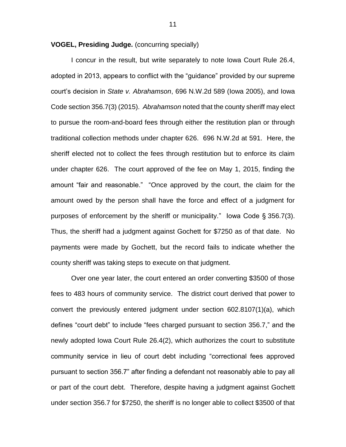**VOGEL, Presiding Judge.** (concurring specially)

I concur in the result, but write separately to note Iowa Court Rule 26.4, adopted in 2013, appears to conflict with the "guidance" provided by our supreme court's decision in *State v. Abrahamson*, 696 N.W.2d 589 (Iowa 2005), and Iowa Code section 356.7(3) (2015). *Abrahamson* noted that the county sheriff may elect to pursue the room-and-board fees through either the restitution plan or through traditional collection methods under chapter 626. 696 N.W.2d at 591. Here, the sheriff elected not to collect the fees through restitution but to enforce its claim under chapter 626. The court approved of the fee on May 1, 2015, finding the amount "fair and reasonable." "Once approved by the court, the claim for the amount owed by the person shall have the force and effect of a judgment for purposes of enforcement by the sheriff or municipality." Iowa Code § 356.7(3). Thus, the sheriff had a judgment against Gochett for \$7250 as of that date. No payments were made by Gochett, but the record fails to indicate whether the county sheriff was taking steps to execute on that judgment.

Over one year later, the court entered an order converting \$3500 of those fees to 483 hours of community service. The district court derived that power to convert the previously entered judgment under section 602.8107(1)(a), which defines "court debt" to include "fees charged pursuant to section 356.7," and the newly adopted Iowa Court Rule 26.4(2), which authorizes the court to substitute community service in lieu of court debt including "correctional fees approved pursuant to section 356.7" after finding a defendant not reasonably able to pay all or part of the court debt. Therefore, despite having a judgment against Gochett under section 356.7 for \$7250, the sheriff is no longer able to collect \$3500 of that